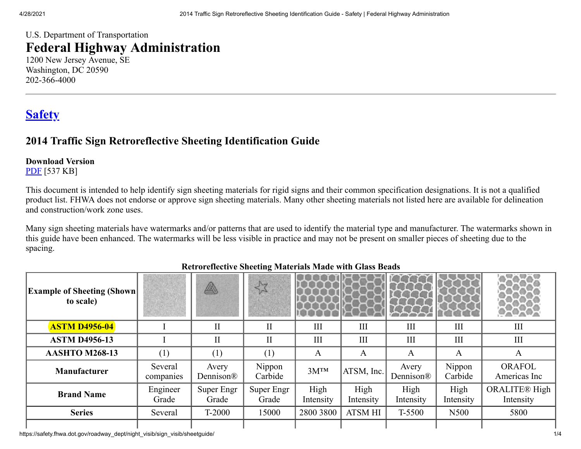## U.S. Department of Transportation **Federal Highway Administration**

1200 New Jersey Avenue, SE Washington, DC 20590 202-366-4000

# **[Safety](https://safety.fhwa.dot.gov/)**

## **2014 Traffic Sign Retroreflective Sheeting Identification Guide**

### **Download Version**

[PDF](https://safety.fhwa.dot.gov/roadway_dept/night_visib/sign_visib/sheetguide/sheetguide2014.pdf) [537 KB]

This document is intended to help identify sign sheeting materials for rigid signs and their common specification designations. It is not a qualified product list. FHWA does not endorse or approve sign sheeting materials. Many other sheeting materials not listed here are available for delineation and construction/work zone uses.

Many sign sheeting materials have watermarks and/or patterns that are used to identify the material type and manufacturer. The watermarks shown in this guide have been enhanced. The watermarks will be less visible in practice and may not be present on smaller pieces of sheeting due to the spacing.

| <b>Example of Sheeting (Shown</b><br>to scale) |                      | A                   | 33                  |                   |                   |                    |                   |                                   |
|------------------------------------------------|----------------------|---------------------|---------------------|-------------------|-------------------|--------------------|-------------------|-----------------------------------|
| <b>ASTM D4956-04</b>                           |                      | П                   | $\prod$             | $\mathbf{I}$      | III               | III                | III               | III                               |
| <b>ASTM D4956-13</b>                           |                      | П                   | $\prod$             | III               | III               | III                | III               | III                               |
| <b>AASHTO M268-13</b>                          |                      | (1)                 | (1)                 | A                 | A                 | A                  | A                 | A                                 |
| <b>Manufacturer</b>                            | Several<br>companies | Avery<br>Dennison®  | Nippon<br>Carbide   | $3M^{TM}$         | $ATSM$ , Inc.     | Avery<br>Dennison® | Nippon<br>Carbide | <b>ORAFOL</b><br>Americas Inc     |
| <b>Brand Name</b>                              | Engineer<br>Grade    | Super Engr<br>Grade | Super Engr<br>Grade | High<br>Intensity | High<br>Intensity | High<br>Intensity  | High<br>Intensity | <b>ORALITE®</b> High<br>Intensity |
| <b>Series</b>                                  | Several              | T-2000              | 15000               | 2800 3800         | <b>ATSM HI</b>    | T-5500             | N500              | 5800                              |
|                                                |                      |                     |                     |                   |                   |                    |                   |                                   |

#### **Retroreflective Sheeting Materials Made with Glass Beads**

https://safety.fhwa.dot.gov/roadway\_dept/night\_visib/sign\_visib/sheetguide/ 1/4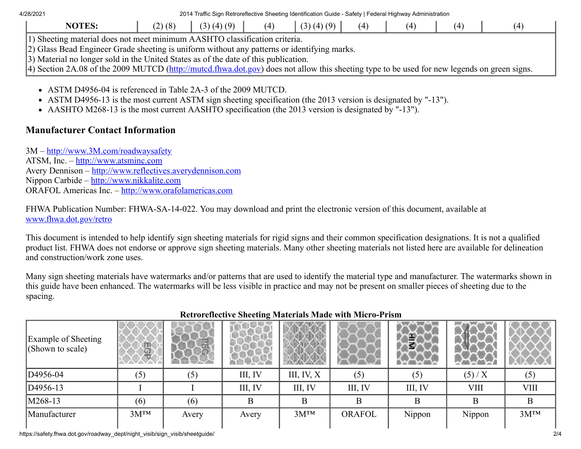4/28/2021 2014 Traffic Sign Retroreflective Sheeting Identification Guide - Safety | Federal Highway Administration

| <b>NOTES:</b>                                                                                                                              | (2)(8) | (3)(4)(9) | (4) | (3)(4)(9) | (4) | (4) | (4) |
|--------------------------------------------------------------------------------------------------------------------------------------------|--------|-----------|-----|-----------|-----|-----|-----|
| 1) Sheeting material does not meet minimum AASHTO classification criteria.                                                                 |        |           |     |           |     |     |     |
| 2) Glass Bead Engineer Grade sheeting is uniform without any patterns or identifying marks.                                                |        |           |     |           |     |     |     |
| 3) Material no longer sold in the United States as of the date of this publication.                                                        |        |           |     |           |     |     |     |
| A) Section 2A 08 of the 2000 MUTCD (http://mutcd.fhwa.dot.gov) does not allow this sheeting type to be used for new legends on green signs |        |           |     |           |     |     |     |

4) Section 2A.08 of the 2009 MUTCD (<u>http://mutcd.fhwa.dot.gov</u>) does not allow this sheeting type to be used for new legends on green signs.

- ASTM D4956-04 is referenced in Table 2A-3 of the 2009 MUTCD.
- ASTM D4956-13 is the most current ASTM sign sheeting specification (the 2013 version is designated by "-13").
- AASHTO M268-13 is the most current AASHTO specification (the 2013 version is designated by "-13").

### **Manufacturer Contact Information**

3M – [http://www.3M.com/roadwaysafety](https://www.fhwa.dot.gov/exit.cfm?link=http://www.3M.com/roadwaysafety) ATSM, Inc. – [http://www.atsminc.com](https://www.fhwa.dot.gov/exit.cfm?link=http://www.atsminc.com) Avery Dennison – [http://www.reflectives.averydennison.com](https://www.fhwa.dot.gov/exit.cfm?link=http://www.reflectives.averydennison.com) Nippon Carbide – [http://www.nikkalite.com](https://www.fhwa.dot.gov/exit.cfm?link=http://www.nikkalite.com) ORAFOL Americas Inc. – [http://www.orafolamericas.com](https://www.fhwa.dot.gov/exit.cfm?link=http://www.orafolamericas.com)

FHWA Publication Number: FHWA-SA-14-022. You may download and print the electronic version of this document, available at [www.fhwa.dot.gov/retro](https://www.fhwa.dot.gov/retro)

This document is intended to help identify sign sheeting materials for rigid signs and their common specification designations. It is not a qualified product list. FHWA does not endorse or approve sign sheeting materials. Many other sheeting materials not listed here are available for delineation and construction/work zone uses.

Many sign sheeting materials have watermarks and/or patterns that are used to identify the material type and manufacturer. The watermarks shown in this guide have been enhanced. The watermarks will be less visible in practice and may not be present on smaller pieces of sheeting due to the spacing.

| <b>Example of Sheeting</b><br>$ $ (Shown to scale) | ą         | $\tilde{5}$ |         |              |               | €       | <b>Carl Avenue</b> |             |
|----------------------------------------------------|-----------|-------------|---------|--------------|---------------|---------|--------------------|-------------|
| D <sub>4956-04</sub>                               | (5)       | (5)         | III, IV | III, IV, $X$ | (5)           | (5)     | (5)/X              | (5)         |
| $ D4956-13$                                        |           |             | III, IV | III, IV      | III, IV       | III, IV | <b>VIII</b>        | <b>VIII</b> |
| $ M268-13$                                         | (6)       | (6)         | B       | B            | Β             | В       | B                  | B           |
| Manufacturer                                       | $3M^{TM}$ | Avery       | Avery   | $3M^{TM}$    | <b>ORAFOL</b> | Nippon  | Nippon             | $3M^{TM}$   |

### **Retroreflective Sheeting Materials Made with Micro-Prism**

https://safety.fhwa.dot.gov/roadway\_dept/night\_visib/sign\_visib/sheetguide/ 2/4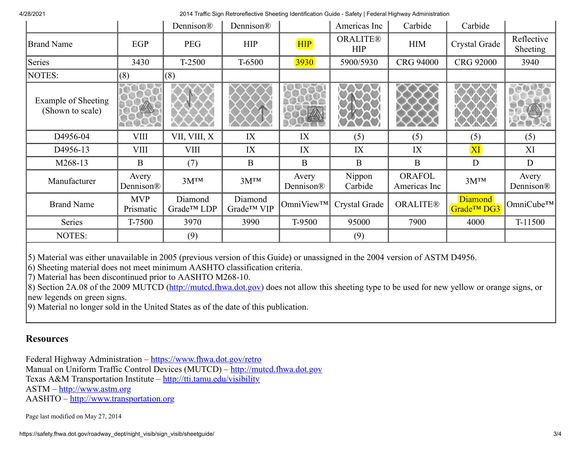4/28/2021 2014 Traffic Sign Retroreflective Sheeting Identification Guide - Safety | Federal Highway Administration

|                                         |                                | Dennison®             | Dennison®             |                                | Americas Inc                  | Carbide                       | Carbide                                   |                                |
|-----------------------------------------|--------------------------------|-----------------------|-----------------------|--------------------------------|-------------------------------|-------------------------------|-------------------------------------------|--------------------------------|
| <b>Brand Name</b>                       | EGP                            | <b>PEG</b>            | <b>HIP</b>            | <b>HIP</b>                     | <b>ORALITE®</b><br><b>HIP</b> | <b>HIM</b>                    | Crystal Grade                             | Reflective<br><b>Sheeting</b>  |
| Series                                  | 3430                           | T-2500                | T-6500                | <b>3930</b>                    | 5900/5930                     | <b>CRG 94000</b>              | <b>CRG 92000</b>                          | 3940                           |
| NOTES:                                  | (8)                            | (8)                   |                       |                                |                               |                               |                                           |                                |
| Example of Sheeting<br>(Shown to scale) |                                |                       |                       |                                |                               |                               |                                           |                                |
| D4956-04                                | <b>VIII</b>                    | VII, VIII, X          | IX                    | IX                             | (5)                           | (5)                           | (5)                                       | (5)                            |
| D4956-13                                | <b>VIII</b>                    | VIII                  | IX                    | IX                             | IX                            | IX                            | XI                                        | XI                             |
| M268-13                                 | $\mathbf{B}$                   | (7)                   | $\mathbf{B}$          | B                              | $\mathbf{B}$                  | $\mathbf{B}$                  | D                                         | D                              |
| Manufacturer                            | Avery<br>Dennison <sup>®</sup> | $3M^{TM}$             | $3M^{TM}$             | Avery<br>Dennison <sup>®</sup> | Nippon<br>Carbide             | <b>ORAFOL</b><br>Americas Inc | $3M^{TM}$                                 | Avery<br>Dennison <sup>®</sup> |
| <b>Brand Name</b>                       | <b>MVP</b><br>Prismatic        | Diamond<br>Grade™ LDP | Diamond<br>Grade™ VIP | OmniView™                      | Crystal Grade                 | <b>ORALITE®</b>               | <b>Diamond</b><br>Grade <sup>TM</sup> DG3 | $OmniCube^{TM}$                |
| Series                                  | T-7500                         | 3970                  | 3990                  | T-9500                         | 95000                         | 7900                          | 4000                                      | T-11500                        |
| NOTES:                                  |                                | (9)                   |                       |                                | (9)                           |                               |                                           |                                |

5) Material was either unavailable in 2005 (previous version of this Guide) or unassigned in the 2004 version of ASTM D4956.

6) Sheeting material does not meet minimum AASHTO classification criteria.

7) Material has been discontinued prior to AASHTO M268-10.

8) Section 2A.08 of the 2009 MUTCD ([http://mutcd.fhwa.dot.gov\)](http://mutcd.fhwa.dot.gov/) does not allow this sheeting type to be used for new yellow or orange signs, or new legends on green signs.

9) Material no longer sold in the United States as of the date of this publication.

#### **Resources**

Federal Highway Administration – <https://www.fhwa.dot.gov/retro> Manual on Uniform Traffic Control Devices (MUTCD) – [http://mutcd.fhwa.dot.gov](http://mutcd.fhwa.dot.gov/) Texas A&M Transportation Institute – [http://tti.tamu.edu/visibility](https://www.fhwa.dot.gov/exit.cfm?link=http://tti.tamu.edu/visibility) ASTM – [http://www.astm.org](https://www.fhwa.dot.gov/exit.cfm?link=http://www.astm.org) AASHTO – [http://www.transportation.org](https://www.fhwa.dot.gov/exit.cfm?link=http://www.transportation.org)

Page last modified on May 27, 2014